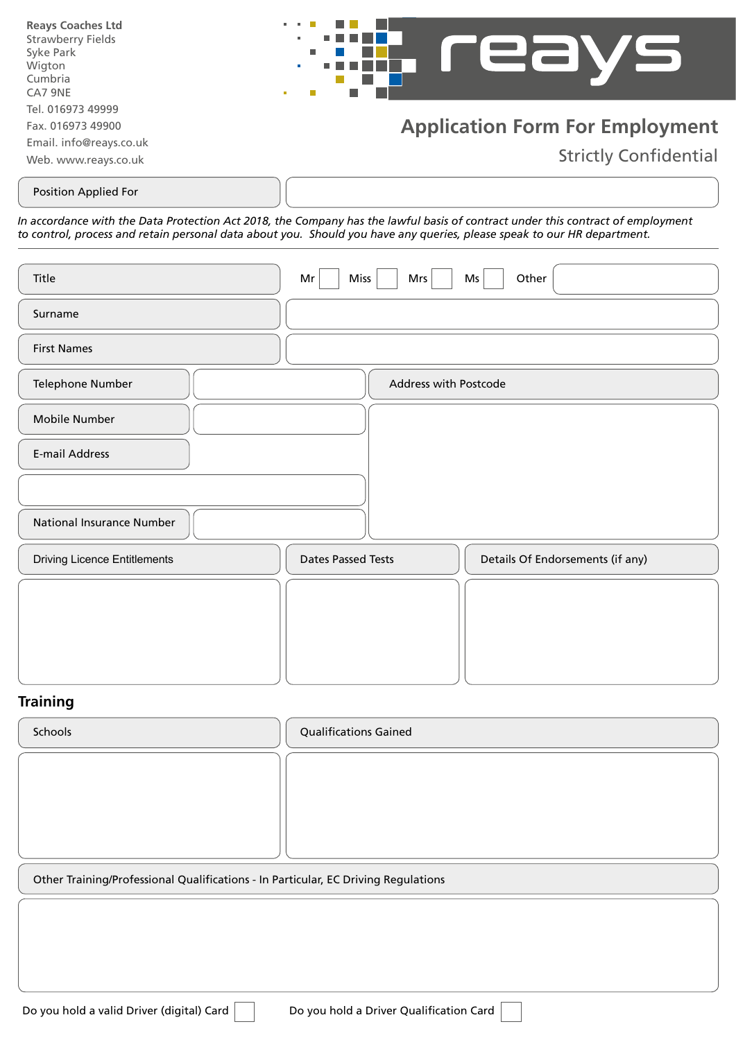| <b>Reays Coaches Ltd</b>                                                                  | <b>Contract Contract</b>                                               |
|-------------------------------------------------------------------------------------------|------------------------------------------------------------------------|
| <b>Strawberry Fields</b>                                                                  | $\mathbf{r} = \mathbf{r} + \mathbf{r}$ .                               |
| Syke Park                                                                                 | .                                                                      |
| Wigton                                                                                    | $\mathbf{u}$                                                           |
| Cumbria                                                                                   | <b>.</b>                                                               |
| CA7 9NE                                                                                   | $\blacksquare$                                                         |
| Tel. 016973 49999<br>Fax. 016973 49900<br>Email. info@reays.co.uk<br>Web. www.reays.co.uk | <b>Application Form For Employment</b><br><b>Strictly Confidential</b> |

Position Applied For

*In accordance with the Data Protection Act 2018, the Company has the lawful basis of contract under this contract of employment to control, process and retain personal data about you. Should you have any queries, please speak to our HR department.*

| Title                               | <b>Miss</b><br>Mrs<br>Mr  | Other<br>Ms                      |
|-------------------------------------|---------------------------|----------------------------------|
| Surname                             |                           |                                  |
| <b>First Names</b>                  |                           |                                  |
| Telephone Number                    | Address with Postcode     |                                  |
| Mobile Number                       |                           |                                  |
| <b>E-mail Address</b>               |                           |                                  |
|                                     |                           |                                  |
| <b>National Insurance Number</b>    |                           |                                  |
| <b>Driving Licence Entitlements</b> | <b>Dates Passed Tests</b> | Details Of Endorsements (if any) |
|                                     |                           |                                  |
|                                     |                           |                                  |
|                                     |                           |                                  |

## **Training**

Schools **Contract Contract Contract Contract Contract Contract Contract Contract Contract Contract Contract Contract Contract Contract Contract Contract Contract Contract Contract Contract Contract Contract Contract Contra** Other Training/Professional Qualifications - In Particular, EC Driving Regulations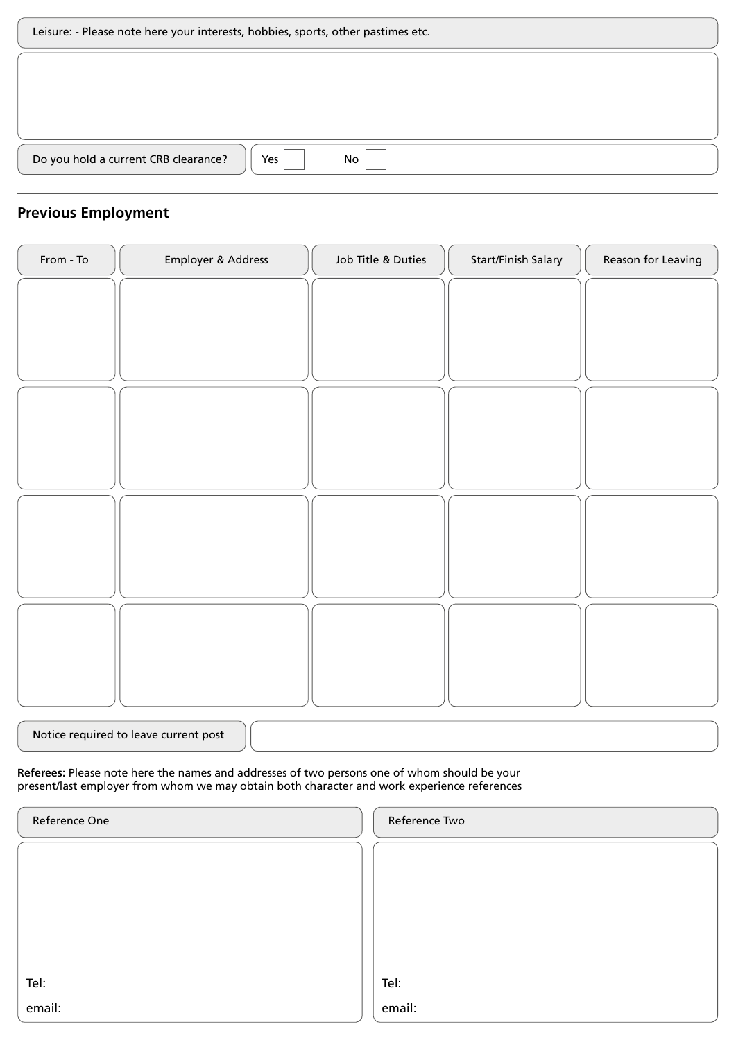| Leisure: - Please note here your interests, hobbies, sports, other pastimes etc. |  |
|----------------------------------------------------------------------------------|--|
|                                                                                  |  |
|                                                                                  |  |
|                                                                                  |  |
| Do you hold a current CRB clearance?<br>No<br>Yes                                |  |

## **Previous Employment**

| Employer & Address | Job Title & Duties | Start/Finish Salary | Reason for Leaving |
|--------------------|--------------------|---------------------|--------------------|
|                    |                    |                     |                    |
|                    |                    |                     |                    |
|                    |                    |                     |                    |
|                    |                    |                     |                    |
|                    |                    |                     |                    |
|                    |                    |                     |                    |
|                    |                    |                     |                    |
|                    |                    |                     |                    |
|                    |                    |                     |                    |
|                    |                    |                     |                    |
|                    |                    |                     |                    |
|                    |                    |                     |                    |
|                    |                    |                     |                    |
|                    |                    |                     |                    |
|                    |                    |                     |                    |

| Notice required to leave current post |  |
|---------------------------------------|--|
|---------------------------------------|--|

## **Referees:** Please note here the names and addresses of two persons one of whom should be your present/last employer from whom we may obtain both character and work experience references

| Reference One | Reference Two |
|---------------|---------------|
|               |               |
|               |               |
|               |               |
|               |               |
| Tel:          | Tel:          |
|               |               |
| email:        | email:        |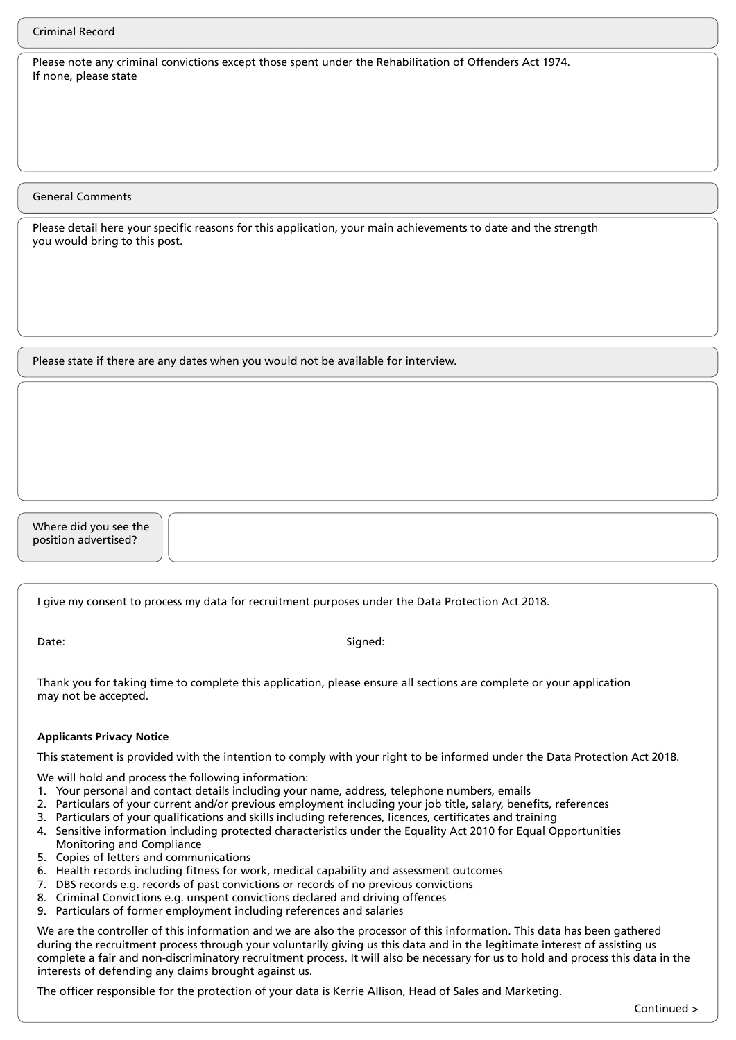Please note any criminal convictions except those spent under the Rehabilitation of Offenders Act 1974. If none, please state

General Comments

Please detail here your specific reasons for this application, your main achievements to date and the strength you would bring to this post.

Please state if there are any dates when you would not be available for interview.

Where did you see the position advertised?

I give my consent to process my data for recruitment purposes under the Data Protection Act 2018.

Date: Signed: Signed: Signed: Signed: Signed: Signed: Signed: Signed: Signed: Signed: Signed: Signed: Signed: Signed: Signed: Signed: Signed: Signed: Signed: Signed: Signed: Signed: Signed: Signed: Signed: Signed: Signed:

Thank you for taking time to complete this application, please ensure all sections are complete or your application may not be accepted.

## **Applicants Privacy Notice**

This statement is provided with the intention to comply with your right to be informed under the Data Protection Act 2018.

- We will hold and process the following information:
- 1. Your personal and contact details including your name, address, telephone numbers, emails
- 2. Particulars of your current and/or previous employment including your job title, salary, benefits, references
- 3. Particulars of your qualifications and skills including references, licences, certificates and training
- 4. Sensitive information including protected characteristics under the Equality Act 2010 for Equal Opportunities Monitoring and Compliance
- 5. Copies of letters and communications
- 6. Health records including fitness for work, medical capability and assessment outcomes
- 7. DBS records e.g. records of past convictions or records of no previous convictions
- 8. Criminal Convictions e.g. unspent convictions declared and driving offences
- 9. Particulars of former employment including references and salaries

We are the controller of this information and we are also the processor of this information. This data has been gathered during the recruitment process through your voluntarily giving us this data and in the legitimate interest of assisting us complete a fair and non-discriminatory recruitment process. It will also be necessary for us to hold and process this data in the interests of defending any claims brought against us.

The officer responsible for the protection of your data is Kerrie Allison, Head of Sales and Marketing.